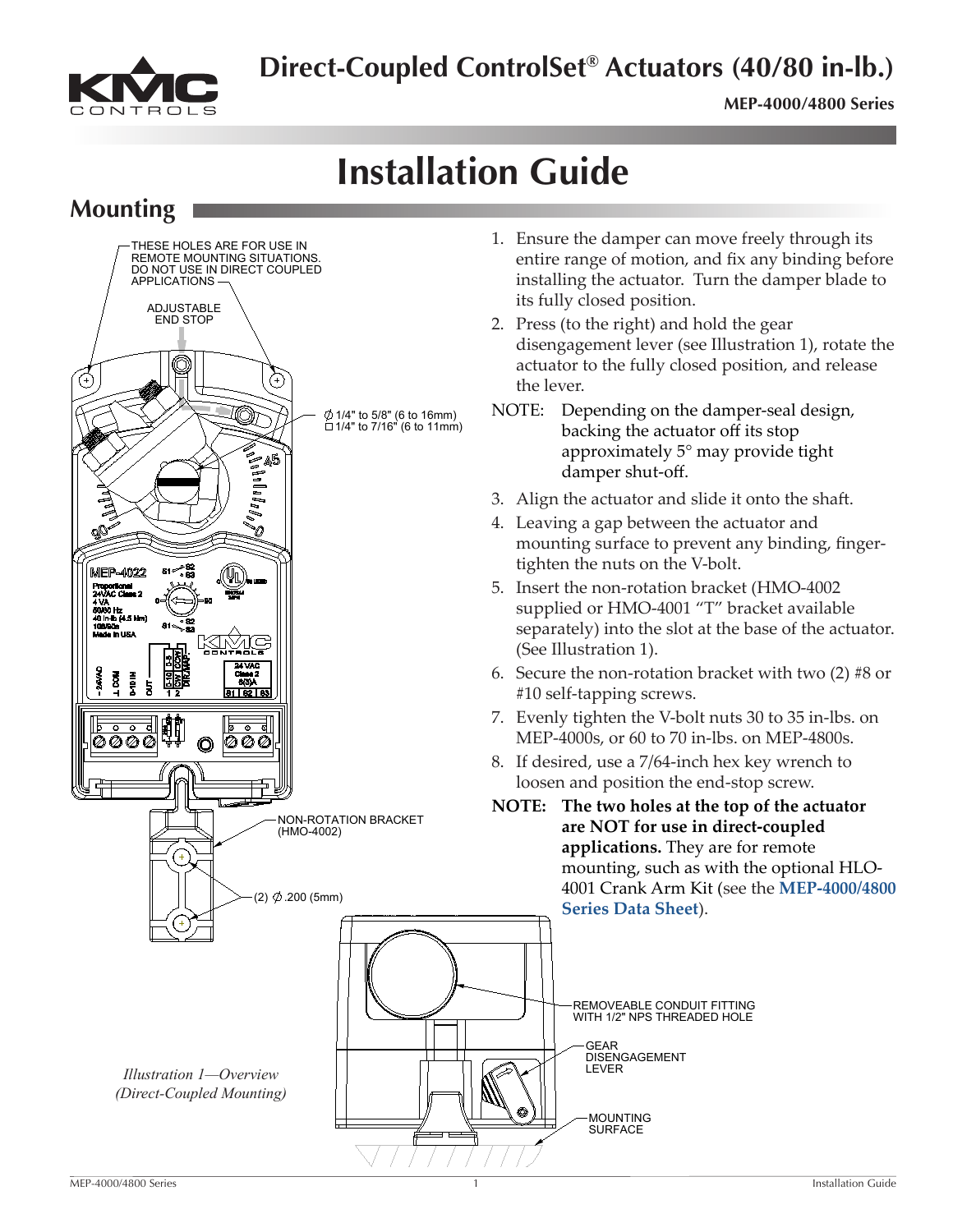**Direct-Coupled ControlSet® Actuators (40/80 in-lb.)**

**MEP-4000/4800 Series** 

### **Installation Guide**  $\sim$

ADJUSTABLE

**Mounting**



- 1. Ensure the damper can move freely through its entire range of motion, and fix any binding before installing the actuator. Turn the damper blade to its fully closed position.
- 2. Press (to the right) and hold the gear disengagement lever (see Illustration 1), rotate the actuator to the fully closed position, and release
- NOTE: Depending on the damper-seal design, backing the actuator off its stop approximately 5° may provide tight damper shut-off.
- 3. Align the actuator and slide it onto the shaft.
- 4. Leaving a gap between the actuator and mounting surface to prevent any binding, fingertighten the nuts on the V-bolt.
- 5. Insert the non-rotation bracket (HMO-4002 supplied or HMO-4001 "T" bracket available separately) into the slot at the base of the actuator.
- 6. Secure the non-rotation bracket with two  $(2)$  #8 or #10 self-tapping screws.
- 7. Evenly tighten the V-bolt nuts 30 to 35 in-lbs. on MEP-4000s, or 60 to 70 in-lbs. on MEP-4800s.
- 8. If desired, use a 7/64-inch hex key wrench to loosen and position the end-stop screw.
- **NOTE:** The two holes at the top of the actuator **are NOT for use in direct-coupled applications.** They are for remote mounting, such as with the optional HLO-4001 Crank Arm Kit (see the **[MEP-4000/4800](http://www.kmccontrols.com/ds/MEP-4003) [Series](http://www.kmccontrols.com/ds/MEP-4003) Data Sheet**).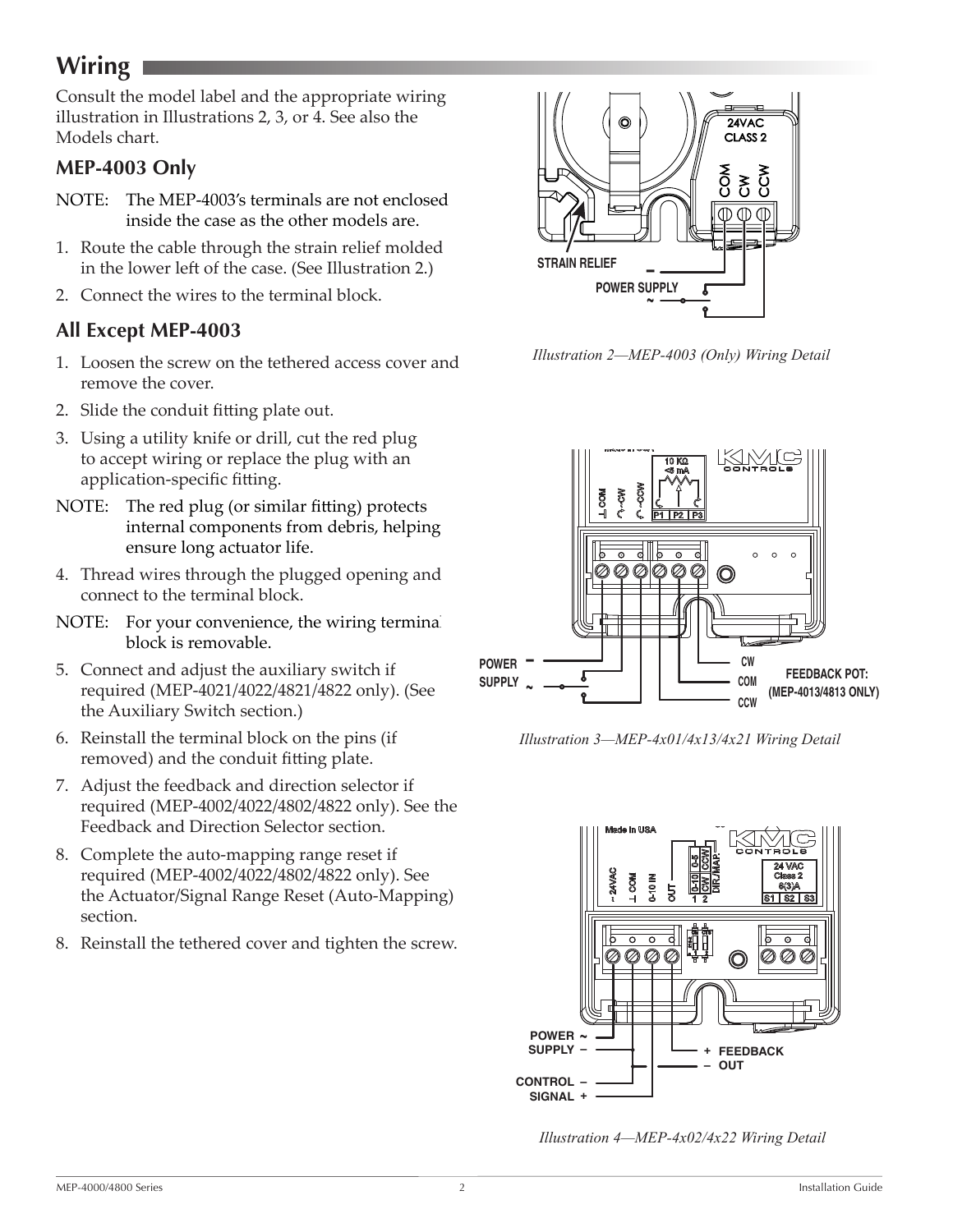# <span id="page-1-0"></span>**Wiring**

Consult the model label and the appropriate wiring illustration in Illustrations 2, 3, or 4. See also the Models chart.

### **MEP-4003 Only**

- NOTE: The MEP-4003's terminals are not enclosed inside the case as the other models are.
- 1. Route the cable through the strain relief molded in the lower left of the case. (See Illustration 2.)
- 2. Connect the wires to the terminal block.

### **All Except MEP-4003**

- 1. Loosen the screw on the tethered access cover and remove the cover.
- 2. Slide the conduit fitting plate out.
- 3. Using a utility knife or drill, cut the red plug to accept wiring or replace the plug with an application-specific fitting.
- NOTE: The red plug (or similar fitting) protects internal components from debris, helping ensure long actuator life.
- 4. Thread wires through the plugged opening and connect to the terminal block.
- NOTE: For your convenience, the wiring terminal block is removable.
- 5. Connect and adjust the auxiliary switch if required (MEP-4021/4022/4821/4822 only). (See the Auxiliary Switch section.)
- 6. Reinstall the terminal block on the pins (if removed) and the conduit fitting plate.
- 7. Adjust the feedback and direction selector if required (MEP-4002/4022/4802/4822 only). See the Feedback and Direction Selector section.
- 8. Complete the auto-mapping range reset if required (MEP-4002/4022/4802/4822 only). See the Actuator/Signal Range Reset (Auto-Mapping) section.
- 8. Reinstall the tethered cover and tighten the screw.



*Illustration 2—MEP-4003 (Only) Wiring Detail*



*Illustration 3—MEP-4x01/4x13/4x21 Wiring Detail*



*Illustration 4—MEP-4x02/4x22 Wiring Detail*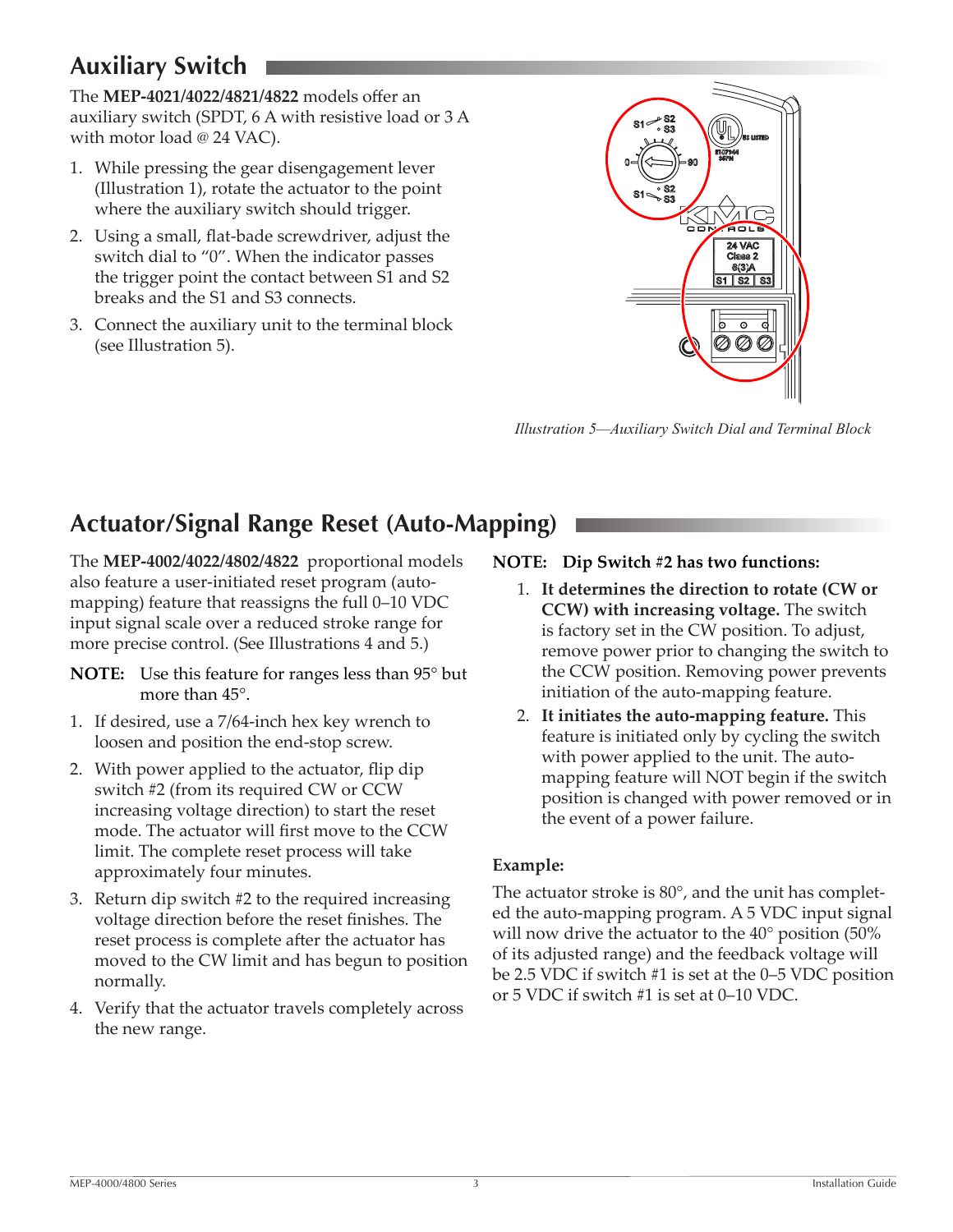# <span id="page-2-0"></span>**Auxiliary Switch**

The **MEP-4021/4022/4821/4822** models offer an auxiliary switch (SPDT, 6 A with resistive load or 3 A with motor load @ 24 VAC).

- 1. While pressing the gear disengagement lever (Illustration 1), rotate the actuator to the point where the auxiliary switch should trigger.
- 2. Using a small, flat-bade screwdriver, adjust the switch dial to "0". When the indicator passes the trigger point the contact between S1 and S2 breaks and the S1 and S3 connects.
- 3. Connect the auxiliary unit to the terminal block (see Illustration 5).



*Illustration 5—Auxiliary Switch Dial and Terminal Block* 

# **Actuator/Signal Range Reset (Auto-Mapping)**

The **MEP-4002/4022/4802/4822** proportional models also feature a user-initiated reset program (automapping) feature that reassigns the full 0–10 VDC input signal scale over a reduced stroke range for more precise control. (See Illustrations 4 and 5.)

- **NOTE:** Use this feature for ranges less than 95° but more than 45°.
- 1. If desired, use a 7/64-inch hex key wrench to loosen and position the end-stop screw.
- 2. With power applied to the actuator, flip dip switch #2 (from its required CW or CCW increasing voltage direction) to start the reset mode. The actuator will first move to the CCW limit. The complete reset process will take approximately four minutes.
- 3. Return dip switch #2 to the required increasing voltage direction before the reset finishes. The reset process is complete after the actuator has moved to the CW limit and has begun to position normally.
- 4. Verify that the actuator travels completely across the new range.

#### **NOTE: Dip Switch #2 has two functions:**

- 1. **It determines the direction to rotate (CW or CCW) with increasing voltage.** The switch is factory set in the CW position. To adjust, remove power prior to changing the switch to the CCW position. Removing power prevents initiation of the auto-mapping feature.
- 2. **It initiates the auto-mapping feature.** This feature is initiated only by cycling the switch with power applied to the unit. The automapping feature will NOT begin if the switch position is changed with power removed or in the event of a power failure.

#### **Example:**

The actuator stroke is 80°, and the unit has completed the auto-mapping program. A 5 VDC input signal will now drive the actuator to the 40° position (50% of its adjusted range) and the feedback voltage will be 2.5 VDC if switch #1 is set at the 0–5 VDC position or 5 VDC if switch #1 is set at 0–10 VDC.